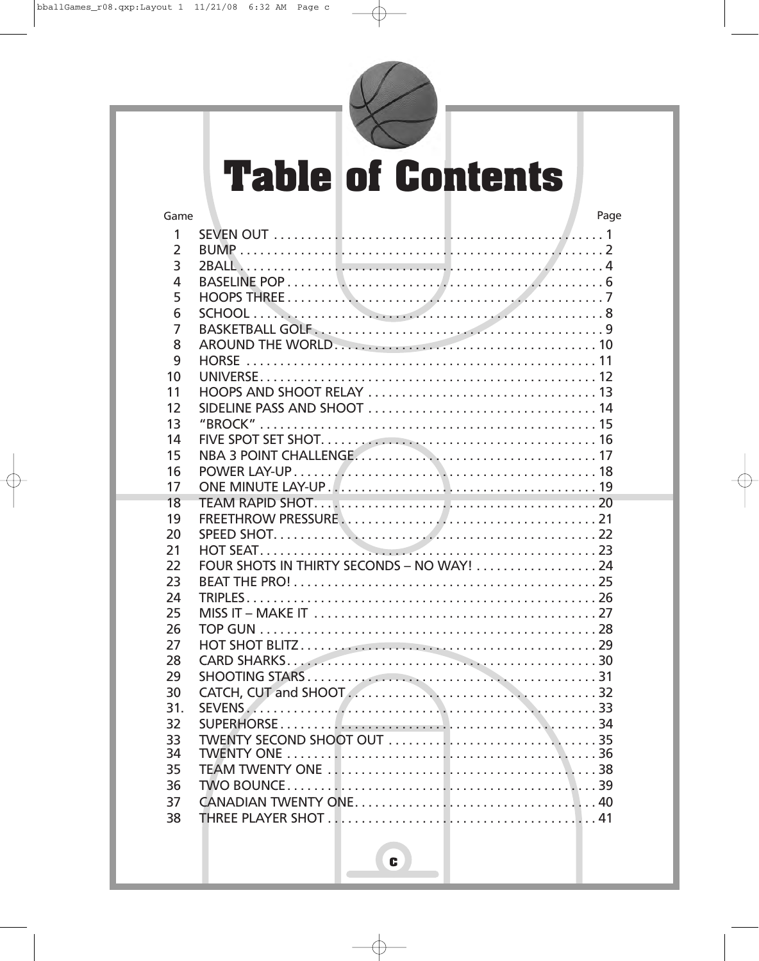

# **Table of Contents**

| Game           |                                                                                | Page |
|----------------|--------------------------------------------------------------------------------|------|
| $\mathbf{1}$   |                                                                                |      |
| $\overline{2}$ |                                                                                |      |
| $\overline{3}$ |                                                                                |      |
| $\overline{4}$ |                                                                                |      |
| 5              |                                                                                |      |
| 6              |                                                                                |      |
| $\overline{7}$ |                                                                                |      |
| 8              |                                                                                |      |
| 9              |                                                                                |      |
| 10             |                                                                                |      |
| 11             |                                                                                |      |
| 12             |                                                                                |      |
| 13             |                                                                                |      |
| 14             |                                                                                |      |
| 15             |                                                                                |      |
| 16             |                                                                                |      |
| 17             |                                                                                |      |
| 18             |                                                                                |      |
| 19             |                                                                                |      |
| 20             |                                                                                |      |
| 21             |                                                                                |      |
| 22             | FOUR SHOTS IN THIRTY SECONDS – NO WAY! $\ldots \ldots \ldots \ldots \ldots$ 24 |      |
| 23             |                                                                                |      |
| 24             |                                                                                |      |
| 25             |                                                                                |      |
| 26             |                                                                                |      |
| 27             |                                                                                |      |
| 28             |                                                                                |      |
| 29             |                                                                                |      |
| 30             |                                                                                |      |
| 31.            |                                                                                |      |
| 32             |                                                                                |      |
| 33             |                                                                                |      |
| 34             |                                                                                |      |
| 35             |                                                                                |      |
| 36             |                                                                                |      |
| 37             |                                                                                |      |
| 38             |                                                                                |      |
|                |                                                                                |      |

 $\bullet$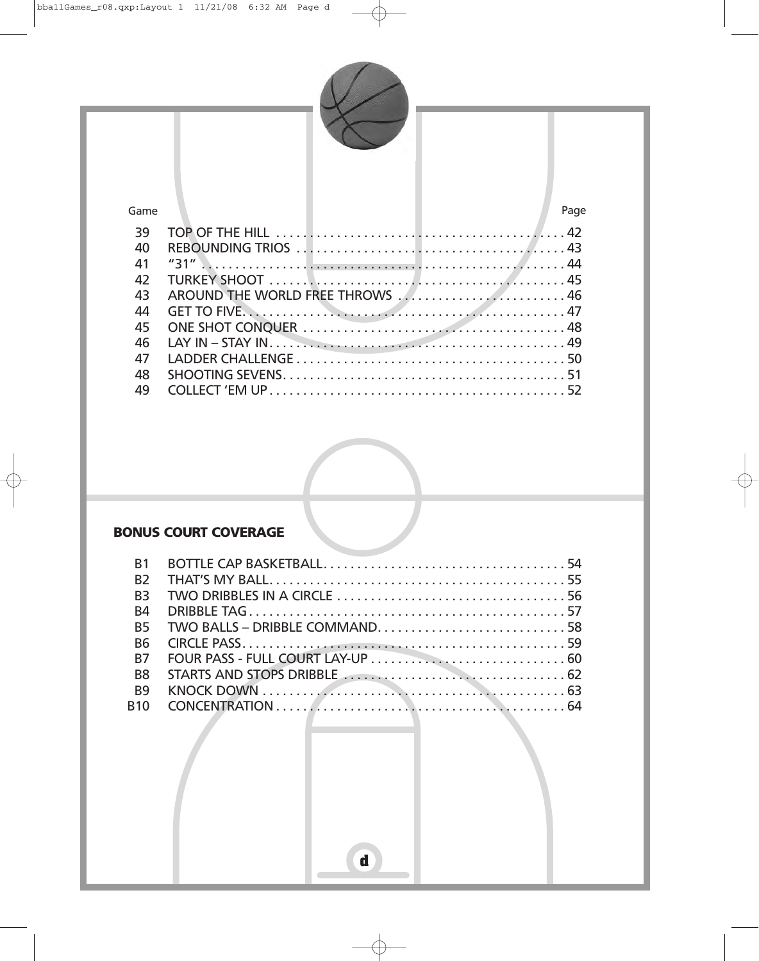

#### Game Page

| 39 |                                                                                                                                                                                                                                  |
|----|----------------------------------------------------------------------------------------------------------------------------------------------------------------------------------------------------------------------------------|
| 40 |                                                                                                                                                                                                                                  |
| 41 |                                                                                                                                                                                                                                  |
| 42 |                                                                                                                                                                                                                                  |
| 43 | AROUND THE WORLD FREE THROWS  46                                                                                                                                                                                                 |
| 44 |                                                                                                                                                                                                                                  |
| 45 |                                                                                                                                                                                                                                  |
| 46 | LAY IN – STAY IN $\ldots$ is a set of the set of the set of the set of the set of the set of the set of the set of the set of the set of the set of the set of the set of the set of the set of the set of the set of the set of |
| 47 |                                                                                                                                                                                                                                  |
| 48 |                                                                                                                                                                                                                                  |
| 49 |                                                                                                                                                                                                                                  |



#### **BONUS COURT COVERAGE**

| <b>B1</b>            |                                                                                                                  |
|----------------------|------------------------------------------------------------------------------------------------------------------|
| <b>B<sub>2</sub></b> |                                                                                                                  |
| <b>B3</b>            |                                                                                                                  |
| <b>B4</b>            |                                                                                                                  |
| <b>B5</b>            |                                                                                                                  |
| <b>B6</b>            |                                                                                                                  |
| <b>B7</b>            |                                                                                                                  |
| B <sub>8</sub>       | STARTS AND STOPS DRIBBLE <b>STARTS</b> AND STARTS AND STOPS DRIBBLE                                              |
| <b>B9</b>            | KNOCK DOWN $\ldots$ $\ldots$ $\ldots$ $\ldots$ $\ldots$ $\ldots$ $\ldots$ $\ldots$ $\ldots$ $\ldots$ $\ldots$ 63 |
| <b>B10</b>           |                                                                                                                  |
|                      |                                                                                                                  |

**d**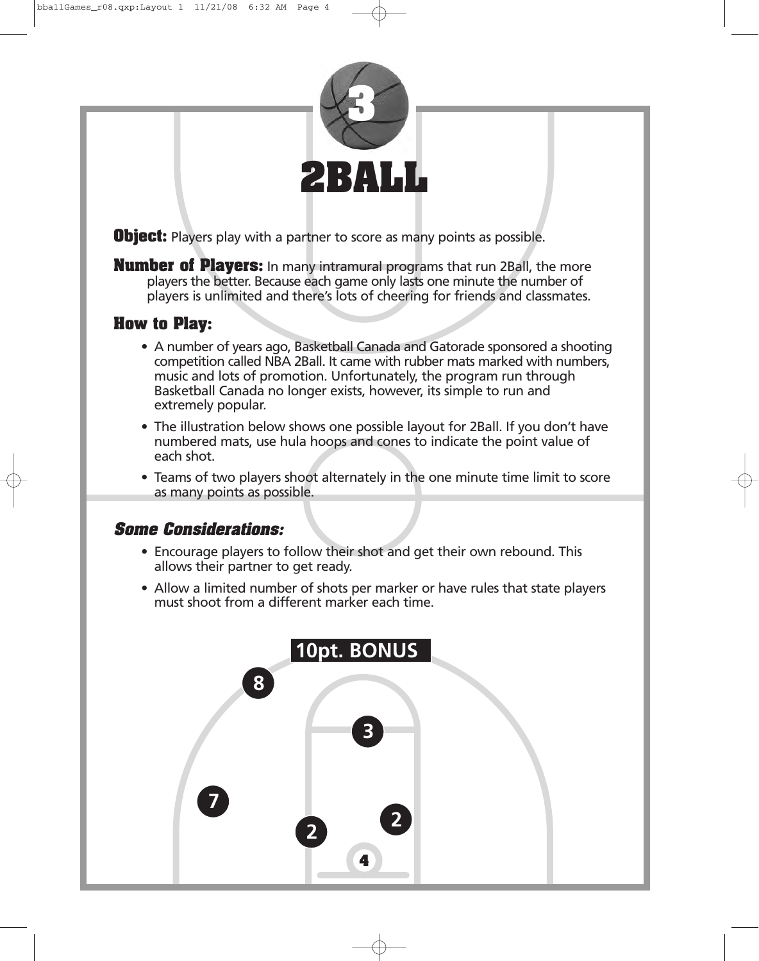

**Object:** Players play with a partner to score as many points as possible.

**Number of Players:** In many intramural programs that run 2Ball, the more players the better. Because each game only lasts one minute the number of players is unlimited and there's lots of cheering for friends and classmates.

# **How to Play:**

- A number of years ago, Basketball Canada and Gatorade sponsored a shooting competition called NBA 2Ball. It came with rubber mats marked with numbers, music and lots of promotion. Unfortunately, the program run through Basketball Canada no longer exists, however, its simple to run and extremely popular.
- The illustration below shows one possible layout for 2Ball. If you don't have numbered mats, use hula hoops and cones to indicate the point value of each shot.
- Teams of two players shoot alternately in the one minute time limit to score as many points as possible.

### **Some Considerations:**

- Encourage players to follow their shot and get their own rebound. This allows their partner to get ready.
- Allow a limited number of shots per marker or have rules that state players must shoot from a different marker each time.